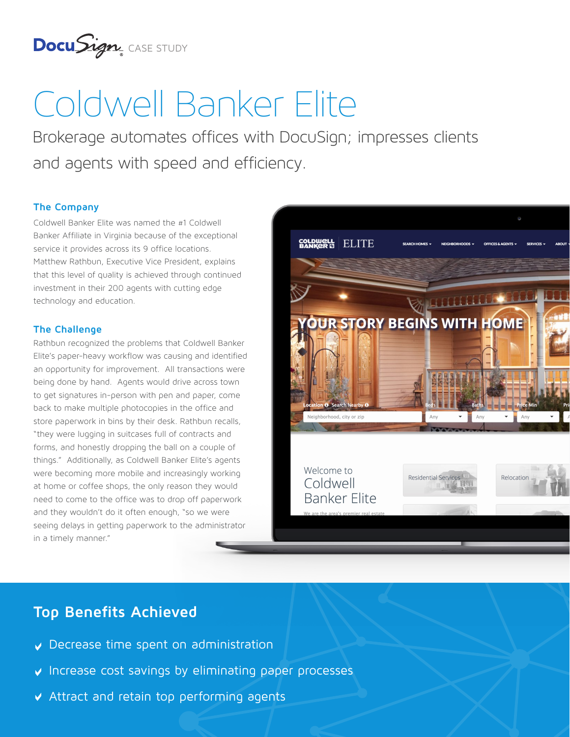

# Coldwell Banker Elite

Brokerage automates offices with DocuSign; impresses clients and agents with speed and efficiency.

## **The Company**

Coldwell Banker Elite was named the #1 Coldwell Banker Affiliate in Virginia because of the exceptional service it provides across its 9 office locations. Matthew Rathbun, Executive Vice President, explains that this level of quality is achieved through continued investment in their 200 agents with cutting edge technology and education.

## **The Challenge**

Rathbun recognized the problems that Coldwell Banker Elite's paper-heavy workflow was causing and identified an opportunity for improvement. All transactions were being done by hand. Agents would drive across town to get signatures in-person with pen and paper, come back to make multiple photocopies in the office and store paperwork in bins by their desk. Rathbun recalls, "they were lugging in suitcases full of contracts and forms, and honestly dropping the ball on a couple of things." Additionally, as Coldwell Banker Elite's agents were becoming more mobile and increasingly working at home or coffee shops, the only reason they would need to come to the office was to drop off paperwork and they wouldn't do it often enough, "so we were seeing delays in getting paperwork to the administrator in a timely manner."



# **Top Benefits Achieved**

- Decrease time spent on administration
- $\vee$  Increase cost savings by eliminating paper processes
- Attract and retain top performing agents